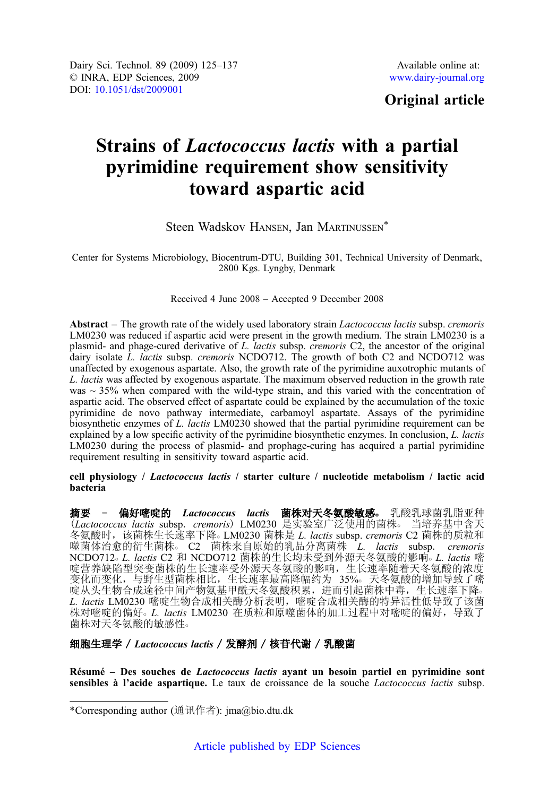## Original article

# Strains of Lactococcus lactis with a partial pyrimidine requirement show sensitivity toward aspartic acid

Steen Wadskov HANSEN, Jan MARTINUSSEN\*

Center for Systems Microbiology, Biocentrum-DTU, Building 301, Technical University of Denmark, 2800 Kgs. Lyngby, Denmark

### Received 4 June 2008 – Accepted 9 December 2008

Abstract – The growth rate of the widely used laboratory strain Lactococcus lactis subsp. cremoris LM0230 was reduced if aspartic acid were present in the growth medium. The strain LM0230 is a plasmid- and phage-cured derivative of L. lactis subsp. cremoris C2, the ancestor of the original dairy isolate  $\dot{L}$ . *lactis* subsp. *cremoris* NCDO712. The growth of both C2 and NCDO712 was unaffected by exogenous aspartate. Also, the growth rate of the pyrimidine auxotrophic mutants of L. lactis was affected by exogenous aspartate. The maximum observed reduction in the growth rate was  $\sim$  35% when compared with the wild-type strain, and this varied with the concentration of aspartic acid. The observed effect of aspartate could be explained by the accumulation of the toxic pyrimidine de novo pathway intermediate, carbamoyl aspartate. Assays of the pyrimidine biosynthetic enzymes of L. lactis LM0230 showed that the partial pyrimidine requirement can be explained by a low specific activity of the pyrimidine biosynthetic enzymes. In conclusion, L. lactis LM0230 during the process of plasmid- and prophage-curing has acquired a partial pyrimidine requirement resulting in sensitivity toward aspartic acid.

#### cell physiology / Lactococcus lactis / starter culture / nucleotide metabolism / lactic acid bacteria

摘要 - 偏好嘧啶的 Lactococcus lactis 菌株对天冬氨酸敏感。 乳酸乳球菌乳脂亚种<br>(Lactococcus lactis subsp. cremoris)LM0230 是实验室广泛使用的菌株。 当培养基中含天 (Lactococcus lactis subsp. cremoris) LM0230 是实验室广泛使用的菌株。 冬氨酸时,该菌株生长速率下降。 LM0230 菌株是 *L. lactis s*ubsp. *cremoris* C2 菌株的质粒和 噬菌体治愈的衍生菌株。 C2 菌株来自原始的乳品分离菌株 L. lactis subsp. cremoris NCDO712。L. lactis C2 和 NCDO712 菌株的生长均未受到外源天冬氨酸的影响。L. lactis 嘧 啶营养缺陷型突变菌株的生长速率受外源天冬氨酸的影响,生长速率随着天冬氨酸的浓度 变化而变化,与野生型菌株相比,生长速率最高降幅约为 35%。天冬氨酸的增加导致了嘧 啶从头生物合成途径中间产物氨基甲酰天冬氨酸积累,进而引起菌株中毒,生长速率下降○ L. lactis LM0230 嘧啶生物合成相关酶分析表明, 嘧啶合成相关酶的特异活性低导致了该菌 株对嘧啶的偏好。L. lactis LM0230 在质粒和原噬菌体的加工过程中对嘧啶的偏好,导致了 菌株对天冬氨酸的敏感性。

## 细胞生理学 / Lactococcus lactis / 发酵剂 / 核苷代谢 / 乳酸菌

Résumé – Des souches de Lactococcus lactis ayant un besoin partiel en pyrimidine sont sensibles à l'acide aspartique. Le taux de croissance de la souche *Lactococcus lactis* subsp.

<sup>\*</sup>Corresponding author (通讯作者): jma@bio.dtu.dk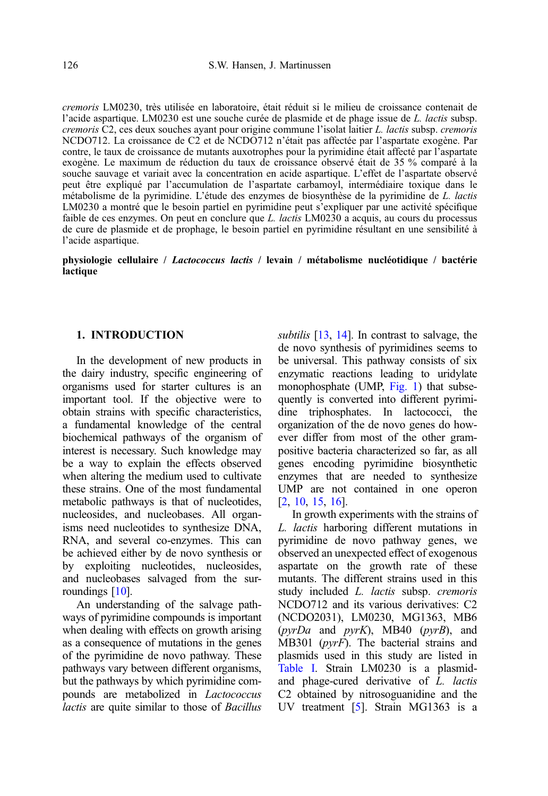cremoris LM0230, très utilisée en laboratoire, était réduit si le milieu de croissance contenait de l'acide aspartique. LM0230 est une souche curée de plasmide et de phage issue de L. lactis subsp. cremoris C2, ces deux souches ayant pour origine commune l'isolat laitier L. lactis subsp. cremoris NCDO712. La croissance de C2 et de NCDO712 n'était pas affectée par l'aspartate exogène. Par contre, le taux de croissance de mutants auxotrophes pour la pyrimidine était affecté par l'aspartate exogène. Le maximum de réduction du taux de croissance observé était de 35 % comparé à la souche sauvage et variait avec la concentration en acide aspartique. L'effet de l'aspartate observé peut être expliqué par l'accumulation de l'aspartate carbamoyl, intermédiaire toxique dans le métabolisme de la pyrimidine. L'étude des enzymes de biosynthèse de la pyrimidine de L. lactis LM0230 a montré que le besoin partiel en pyrimidine peut s'expliquer par une activité spécifique faible de ces enzymes. On peut en conclure que L. lactis LM0230 a acquis, au cours du processus de cure de plasmide et de prophage, le besoin partiel en pyrimidine résultant en une sensibilité à l'acide aspartique.

physiologie cellulaire / Lactococcus lactis / levain / métabolisme nucléotidique / bactérie **lactique** 

## 1. INTRODUCTION

In the development of new products in the dairy industry, specific engineering of organisms used for starter cultures is an important tool. If the objective were to obtain strains with specific characteristics, a fundamental knowledge of the central biochemical pathways of the organism of interest is necessary. Such knowledge may be a way to explain the effects observed when altering the medium used to cultivate these strains. One of the most fundamental metabolic pathways is that of nucleotides, nucleosides, and nucleobases. All organisms need nucleotides to synthesize DNA, RNA, and several co-enzymes. This can be achieved either by de novo synthesis or by exploiting nucleotides, nucleosides, and nucleobases salvaged from the surroundings [\[10\]](#page-11-0).

An understanding of the salvage pathways of pyrimidine compounds is important when dealing with effects on growth arising as a consequence of mutations in the genes of the pyrimidine de novo pathway. These pathways vary between different organisms, but the pathways by which pyrimidine compounds are metabolized in Lactococcus lactis are quite similar to those of Bacillus subtilis [\[13](#page-11-0), [14\]](#page-11-0). In contrast to salvage, the de novo synthesis of pyrimidines seems to be universal. This pathway consists of six enzymatic reactions leading to uridylate monophosphate (UMP, [Fig. 1](#page-2-0)) that subsequently is converted into different pyrimidine triphosphates. In lactococci, the organization of the de novo genes do however differ from most of the other grampositive bacteria characterized so far, as all genes encoding pyrimidine biosynthetic enzymes that are needed to synthesize UMP are not contained in one operon [[2](#page-11-0), [10,](#page-11-0) [15](#page-11-0), [16\]](#page-11-0).

In growth experiments with the strains of L. lactis harboring different mutations in pyrimidine de novo pathway genes, we observed an unexpected effect of exogenous aspartate on the growth rate of these mutants. The different strains used in this study included L. lactis subsp. cremoris NCDO712 and its various derivatives: C2 (NCDO2031), LM0230, MG1363, MB6  $(pyrDa$  and  $pyrK)$ , MB40  $(pyrB)$ , and MB301 (pyrF). The bacterial strains and plasmids used in this study are listed in [Table I.](#page-2-0) Strain LM0230 is a plasmidand phage-cured derivative of L. lactis C2 obtained by nitrosoguanidine and the UV treatment [\[5](#page-11-0)]. Strain MG1363 is a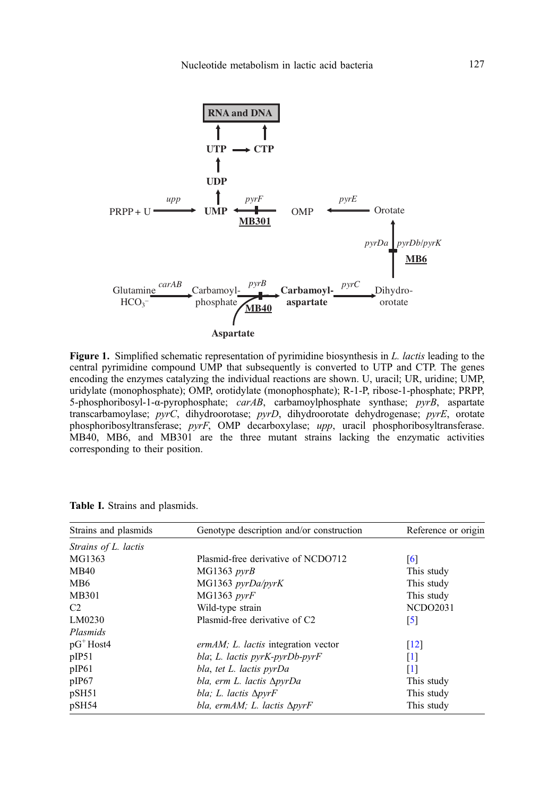<span id="page-2-0"></span>

Figure 1. Simplified schematic representation of pyrimidine biosynthesis in L. lactis leading to the central pyrimidine compound UMP that subsequently is converted to UTP and CTP. The genes encoding the enzymes catalyzing the individual reactions are shown. U, uracil; UR, uridine; UMP, uridylate (monophosphate); OMP, orotidylate (monophosphate); R-1-P, ribose-1-phosphate; PRPP, 5-phosphoribosyl-1- $\alpha$ -pyrophosphate;  $\text{carAB}$ , carbamoylphosphate synthase;  $\text{pyrB}$ , aspartate transcarbamoylase; pyrC, dihydroorotase; pyrD, dihydroorotate dehydrogenase; pyrE, orotate phosphoribosyltransferase; pyrF, OMP decarboxylase; upp, uracil phosphoribosyltransferase. MB40, MB6, and MB301 are the three mutant strains lacking the enzymatic activities corresponding to their position.

| Strains and plasmids | Genotype description and/or construction     | Reference or origin |
|----------------------|----------------------------------------------|---------------------|
| Strains of L. lactis |                                              |                     |
| MG1363               | Plasmid-free derivative of NCDO712           | [6]                 |
| <b>MB40</b>          | MG1363 pyrB                                  | This study          |
| MB6                  | MG1363 pyrDa/pyrK                            | This study          |
| MB301                | MG1363 pyrF                                  | This study          |
| C <sub>2</sub>       | Wild-type strain                             | <b>NCDO2031</b>     |
| LM0230               | Plasmid-free derivative of C <sub>2</sub>    | [5]                 |
| Plasmids             |                                              |                     |
| $pG^+$ Host4         | ermAM; L. lactis integration vector          | $\lceil 12 \rceil$  |
| pIP51                | bla; L. lactis pyrK-pyrDb-pyrF               | [1]                 |
| pIP61                | bla, tet L. lactis pyrDa                     | [1]                 |
| pIP67                | bla, erm L. lactis ApyrDa                    | This study          |
| pSH51                | bla; L. lactis $\Delta p v r F$              | This study          |
| pSH54                | bla, erm $AM$ ; L. lactis $\Delta p \nu r$ F |                     |

Table I. Strains and plasmids.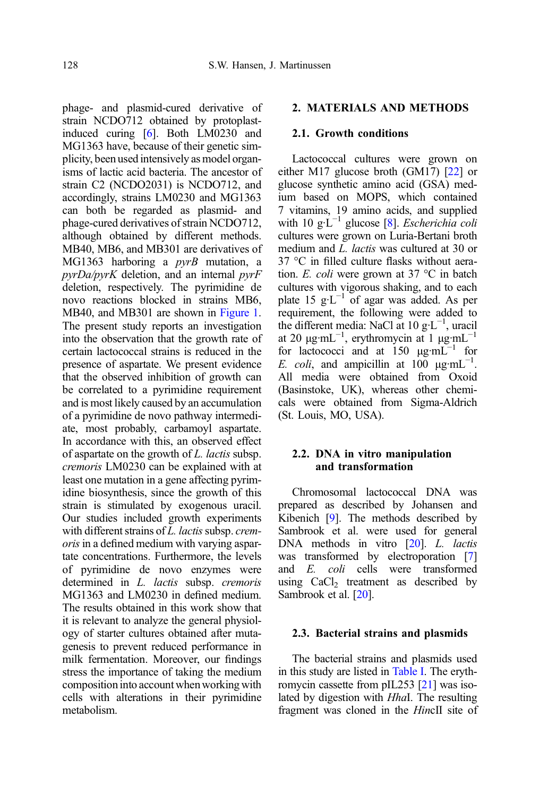phage- and plasmid-cured derivative of strain NCDO712 obtained by protoplastinduced curing [\[6](#page-11-0)]. Both LM0230 and MG1363 have, because of their genetic simplicity, been used intensively as model organisms of lactic acid bacteria. The ancestor of strain C2 (NCDO2031) is NCDO712, and accordingly, strains LM0230 and MG1363 can both be regarded as plasmid- and phage-cured derivatives of strain NCDO712, although obtained by different methods. MB40, MB6, and MB301 are derivatives of MG1363 harboring a  $pyrB$  mutation, a pyrDa/pyrK deletion, and an internal pyrF deletion, respectively. The pyrimidine de novo reactions blocked in strains MB6, MB40, and MB301 are shown in [Figure 1.](#page-2-0) The present study reports an investigation into the observation that the growth rate of certain lactococcal strains is reduced in the presence of aspartate. We present evidence that the observed inhibition of growth can be correlated to a pyrimidine requirement and is most likely caused by an accumulation of a pyrimidine de novo pathway intermediate, most probably, carbamoyl aspartate. In accordance with this, an observed effect of aspartate on the growth of L. lactis subsp. cremoris LM0230 can be explained with at least one mutation in a gene affecting pyrimidine biosynthesis, since the growth of this strain is stimulated by exogenous uracil. Our studies included growth experiments with different strains of  $L$ . lactis subsp. cremoris in a defined medium with varying aspartate concentrations. Furthermore, the levels of pyrimidine de novo enzymes were determined in *L. lactis* subsp. *cremoris* MG1363 and LM0230 in defined medium. The results obtained in this work show that it is relevant to analyze the general physiology of starter cultures obtained after mutagenesis to prevent reduced performance in milk fermentation. Moreover, our findings stress the importance of taking the medium composition into account when working with cells with alterations in their pyrimidine metabolism.

### 2. MATERIALS AND METHODS

#### 2.1 Growth conditions

Lactococcal cultures were grown on either M17 glucose broth (GM17) [[22](#page-12-0)] or glucose synthetic amino acid (GSA) medium based on MOPS, which contained 7 vitamins, 19 amino acids, and supplied with 10 g·L<sup>-1</sup> glucose [[8\]](#page-11-0). *Escherichia coli* cultures were grown on Luria-Bertani broth medium and L. *lactis* was cultured at 30 or 37 °C in filled culture flasks without aeration. E. coli were grown at 37 °C in batch cultures with vigorous shaking, and to each plate 15  $g·L^{-1}$  of agar was added. As per requirement, the following were added to the different media: NaCl at 10 g·L−<sup>1</sup> , uracil at 20  $\mu$ g·mL<sup>-1</sup>, erythromycin at 1  $\mu$ g·mL<sup>-1</sup> for lactococci and at  $150 \mu g \cdot mL^{-1}$  for E. coli, and ampicillin at  $100 \mu\text{g} \cdot \text{mL}^{-1}$ . All media were obtained from Oxoid (Basinstoke, UK), whereas other chemicals were obtained from Sigma-Aldrich (St. Louis, MO, USA).

#### 2.2. DNA in vitro manipulation and transformation

Chromosomal lactococcal DNA was prepared as described by Johansen and Kibenich [\[9](#page-11-0)]. The methods described by Sambrook et al. were used for general DNA methods in vitro [\[20](#page-12-0)]. *L. lactis* was transformed by electroporation [[7](#page-11-0)] and E. coli cells were transformed using CaCl<sub>2</sub> treatment as described by Sambrook et al. [[20](#page-12-0)].

#### 2.3. Bacterial strains and plasmids

The bacterial strains and plasmids used in this study are listed in [Table I](#page-2-0). The erythromycin cassette from pIL253 [\[21\]](#page-12-0) was isolated by digestion with HhaI. The resulting fragment was cloned in the HincII site of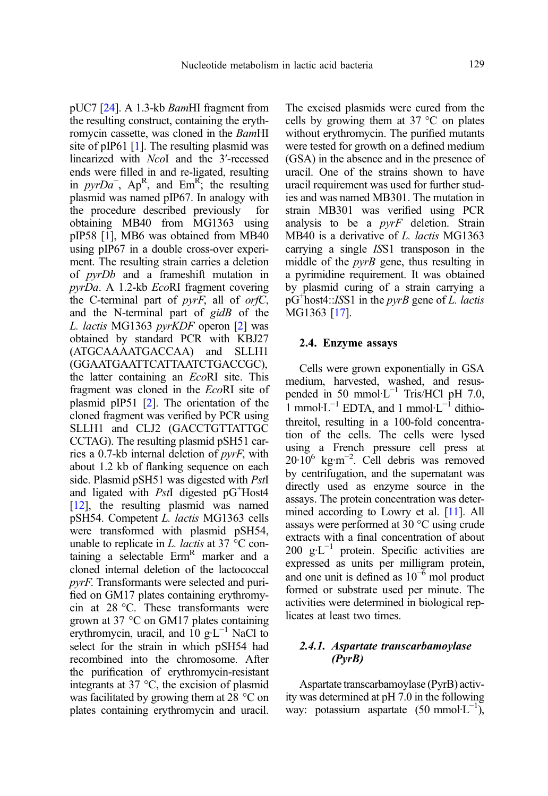pUC7 [\[24](#page-12-0)]. A 1.3-kb BamHI fragment from the resulting construct, containing the erythromycin cassette, was cloned in the BamHI site of pIP61 [[1\]](#page-11-0). The resulting plasmid was linearized with NcoI and the 3′-recessed ends were filled in and re-ligated, resulting in  $pyrDa^-$ ,  $Ap^R$ , and  $Em^R$ ; the resulting plasmid was named pIP67. In analogy with the procedure described previously for obtaining MB40 from MG1363 using pIP58 [\[1](#page-11-0)], MB6 was obtained from MB40 using pIP67 in a double cross-over experiment. The resulting strain carries a deletion of pyrDb and a frameshift mutation in pyrDa. A 1.2-kb EcoRI fragment covering the C-terminal part of  $pyrF$ , all of  $orfC$ , and the N-terminal part of gidB of the L. lactis MG1363 pyrKDF operon [\[2\]](#page-11-0) was obtained by standard PCR with KBJ27 (ATGCAAAATGACCAA) and SLLH1 (GGAATGAATTCATTAATCTGACCGC), the latter containing an EcoRI site. This fragment was cloned in the EcoRI site of plasmid pIP51 [\[2\]](#page-11-0). The orientation of the cloned fragment was verified by PCR using SLLH1 and CLJ2 (GACCTGTTATTGC CCTAG). The resulting plasmid pSH51 carries a 0.7-kb internal deletion of pyrF, with about 1.2 kb of flanking sequence on each side. Plasmid pSH51 was digested with *PstI* and ligated with PstI digested pG<sup>+</sup>Host4 [[12](#page-11-0)], the resulting plasmid was named pSH54. Competent L. lactis MG1363 cells were transformed with plasmid pSH54, unable to replicate in L. *lactis* at 37  $\degree$ C containing a selectable  $Erm<sup>R</sup>$  marker and a cloned internal deletion of the lactococcal pyrF. Transformants were selected and purified on GM17 plates containing erythromycin at 28 °C. These transformants were grown at 37 °C on GM17 plates containing erythromycin, uracil, and 10  $g·L^{-1}$  NaCl to select for the strain in which pSH54 had recombined into the chromosome. After the purification of erythromycin-resistant integrants at 37 °C, the excision of plasmid was facilitated by growing them at 28 °C on plates containing erythromycin and uracil.

The excised plasmids were cured from the cells by growing them at 37 °C on plates without erythromycin. The purified mutants were tested for growth on a defined medium (GSA) in the absence and in the presence of uracil. One of the strains shown to have uracil requirement was used for further studies and was named MB301. The mutation in strain MB301 was verified using PCR analysis to be a pyrF deletion. Strain MB40 is a derivative of L. lactis MG1363 carrying a single ISS1 transposon in the middle of the *pyrB* gene, thus resulting in a pyrimidine requirement. It was obtained by plasmid curing of a strain carrying a  $pG^+$ host4::ISS1 in the  $pyrB$  gene of L. lactis MG1363 [\[17](#page-11-0)].

#### 2.4. Enzyme assays

Cells were grown exponentially in GSA medium, harvested, washed, and resuspended in 50 mmol·L<sup>-1</sup> Tris/HCl pH 7.0, 1 mmol⋅L<sup>-1</sup> EDTA, and 1 mmol⋅L<sup>-1</sup> dithiothreitol, resulting in a 100-fold concentration of the cells. The cells were lysed using a French pressure cell press at 20·10<sup>6</sup> kg·m<sup>-2</sup>. Cell debris was removed by centrifugation, and the supernatant was directly used as enzyme source in the assays. The protein concentration was determined according to Lowry et al. [[11\]](#page-11-0). All assays were performed at 30 °C using crude extracts with a final concentration of about 200  $g·L^{-1}$  protein. Specific activities are expressed as units per milligram protein, and one unit is defined as  $10^{-6}$  mol product formed or substrate used per minute. The activities were determined in biological replicates at least two times.

## 2.4.1. Aspartate transcarbamoylase (PyrB)

Aspartate transcarbamoylase (PyrB) activity was determined at pH 7.0 in the following way: potassium aspartate  $(50 \text{ mmol·L}^{-1})$ ,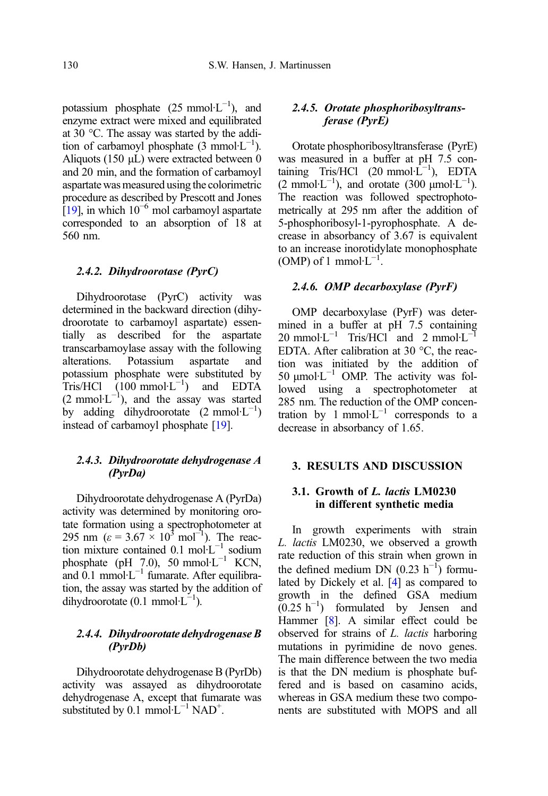potassium phosphate  $(25 \text{ mmol·L}^{-1})$ , and enzyme extract were mixed and equilibrated at 30 °C. The assay was started by the addition of carbamoyl phosphate  $(3 \text{ mmol·L}^{-1})$ . Aliquots (150 μL) were extracted between 0 and 20 min, and the formation of carbamoyl aspartate was measured using the colorimetric procedure as described by Prescott and Jones  $[19]$ , in which  $10^{-6}$  mol carbamoyl aspartate corresponded to an absorption of 18 at 560 nm.

## 2.4.2. Dihydroorotase (PyrC)

Dihydroorotase (PyrC) activity was determined in the backward direction (dihydroorotate to carbamoyl aspartate) essentially as described for the aspartate transcarbamoylase assay with the following alterations. Potassium aspartate and potassium phosphate were substituted by Tris/HCl  $(100 \text{ mmol·L}^{-1})$  and EDTA  $(2 \text{ mmol·L}^{-1})$ , and the assay was started by adding dihydroorotate  $(2 \text{ mmol·L}^{-1})$ instead of carbamoyl phosphate [\[19\]](#page-11-0).

## 2.4.3. Dihydroorotate dehydrogenase A (PyrDa)

Dihydroorotate dehydrogenase A (PyrDa) activity was determined by monitoring orotate formation using a spectrophotometer at 295 nm ( $\varepsilon = 3.67 \times 10^3$  mol<sup>-1</sup>). The reaction mixture contained 0.1 mol·L−<sup>1</sup> sodium phosphate (pH 7.0), 50 mmol⋅L<sup>-1</sup> KCN, and  $0.1$  mmol⋅L<sup>-1</sup> fumarate. After equilibration, the assay was started by the addition of dihydroorotate  $(0.1 \text{ mmol·L}^{-1})$ .

## 2.4.4. Dihydroorotate dehydrogenase B (PyrDb)

Dihydroorotate dehydrogenase B (PyrDb) activity was assayed as dihydroorotate dehydrogenase A, except that fumarate was substituted by  $0.1 \text{ mmol·}L^{-1} \text{ NAD}^{+}$ .

## 2.4.5. Orotate phosphoribosyltransferase (PyrE)

Orotate phosphoribosyltransferase (PyrE) was measured in a buffer at pH 7.5 containing Tris/HCl  $(20 \text{ mmol·L}^{-1})$ , EDTA  $(2 \text{ mmol·L}^{-1})$ , and orotate  $(300 \text{ mmol·L}^{-1})$ . The reaction was followed spectrophotometrically at 295 nm after the addition of 5-phosphoribosyl-1-pyrophosphate. A decrease in absorbancy of 3.67 is equivalent to an increase inorotidylate monophosphate (OMP) of 1 mmol⋅L<sup>-1</sup>.

## 2.4.6. OMP decarboxylase (PyrF)

OMP decarboxylase (PyrF) was determined in a buffer at pH 7.5 containing  $20 \text{ mmol·L}^{-1}$  Tris/HCl and 2 mmol·L<sup>-1</sup> EDTA. After calibration at 30 °C, the reaction was initiated by the addition of 50 μmol·L−<sup>1</sup> OMP. The activity was followed using a spectrophotometer at 285 nm. The reduction of the OMP concentration by 1 mmol⋅ $L^{-1}$  corresponds to a decrease in absorbancy of 1.65.

## 3. RESULTS AND DISCUSSION

## 3.1. Growth of L. lactis LM0230 in different synthetic media

In growth experiments with strain L. lactis LM0230, we observed a growth rate reduction of this strain when grown in the defined medium DN  $(0.23 \text{ h}^{-1})$  formulated by Dickely et al. [[4](#page-11-0)] as compared to growth in the defined GSA medium  $(0.25 \text{ h}^{-1})$  formulated by Jensen and Hammer [[8](#page-11-0)]. A similar effect could be observed for strains of L. lactis harboring mutations in pyrimidine de novo genes. The main difference between the two media is that the DN medium is phosphate buffered and is based on casamino acids, whereas in GSA medium these two components are substituted with MOPS and all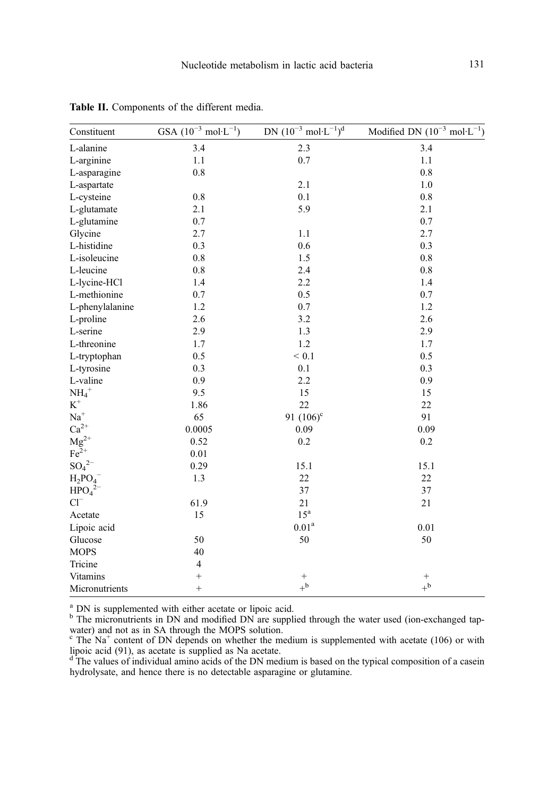| Constituent                    | GSA $(10^{-3} \text{ mol} \cdot \text{L}^{-1})$ | DN $(10^{-3} \text{ mol} \cdot \text{L}^{-1})^d$ | Modified DN $(10^{-3} \text{ mol} \cdot \text{L}^{-1})$ |
|--------------------------------|-------------------------------------------------|--------------------------------------------------|---------------------------------------------------------|
| L-alanine                      | 3.4                                             | 2.3                                              | 3.4                                                     |
| L-arginine                     | 1.1                                             | 0.7                                              | 1.1                                                     |
| L-asparagine                   | $0.8\,$                                         |                                                  | $0.8\,$                                                 |
| L-aspartate                    |                                                 | 2.1                                              | $1.0\,$                                                 |
| L-cysteine                     | 0.8                                             | 0.1                                              | 0.8                                                     |
| L-glutamate                    | 2.1                                             | 5.9                                              | 2.1                                                     |
| L-glutamine                    | 0.7                                             |                                                  | 0.7                                                     |
| Glycine                        | 2.7                                             | 1.1                                              | 2.7                                                     |
| L-histidine                    | 0.3                                             | $0.6\,$                                          | 0.3                                                     |
| L-isoleucine                   | $0.8\,$                                         | 1.5                                              | 0.8                                                     |
| L-leucine                      | $0.8\,$                                         | 2.4                                              | $0.8\,$                                                 |
| L-lycine-HCl                   | 1.4                                             | 2.2                                              | 1.4                                                     |
| L-methionine                   | 0.7                                             | 0.5                                              | 0.7                                                     |
| L-phenylalanine                | $1.2\,$                                         | 0.7                                              | 1.2                                                     |
| L-proline                      | 2.6                                             | 3.2                                              | 2.6                                                     |
| L-serine                       | 2.9                                             | 1.3                                              | 2.9                                                     |
| L-threonine                    | 1.7                                             | $1.2\,$                                          | 1.7                                                     |
| L-tryptophan                   | 0.5                                             | ${}< 0.1$                                        | 0.5                                                     |
| L-tyrosine                     | 0.3                                             | 0.1                                              | 0.3                                                     |
| L-valine                       | 0.9                                             | 2.2                                              | 0.9                                                     |
| $NH_4^+$                       | 9.5                                             | 15                                               | 15                                                      |
| $\mbox{K}^+$                   | 1.86                                            | 22                                               | 22                                                      |
| $\mathrm{Na}^+$                | 65                                              | 91 $(106)^{\circ}$                               | 91                                                      |
| $Ca^{2+}$                      | 0.0005                                          | 0.09                                             | 0.09                                                    |
| $\rm Mg^{2+}$                  | 0.52                                            | 0.2                                              | 0.2                                                     |
| $Fe2+$                         | 0.01                                            |                                                  |                                                         |
| $SO_4^2$ <sup>-</sup>          | 0.29                                            | 15.1                                             | 15.1                                                    |
| $H_2PO_4$                      | 1.3                                             | 22                                               | 22                                                      |
| HPO <sub>4</sub> <sup>2–</sup> |                                                 | 37                                               | 37                                                      |
| $Cl^{-}$                       | 61.9                                            | 21                                               | 21                                                      |
| Acetate                        | 15                                              | $15^{\mathrm{a}}$                                |                                                         |
| Lipoic acid                    |                                                 | $0.01^{\rm a}$                                   | 0.01                                                    |
| Glucose                        | 50                                              | 50                                               | 50                                                      |
| <b>MOPS</b>                    | 40                                              |                                                  |                                                         |
| Tricine                        | $\overline{4}$                                  |                                                  |                                                         |
| Vitamins                       |                                                 | $^{+}$                                           | $^{+}$                                                  |
| Micronutrients                 | $\ddot{}$                                       | $+^{\rm b}$                                      | $+^{\rm b}$                                             |

<span id="page-6-0"></span>Table II. Components of the different media.

<sup>a</sup> DN is supplemented with either acetate or lipoic acid.<br><sup>b</sup> The micronutrients in DN and modified DN are supplied through the water used (ion-exchanged tap-

water) and not as in SA through the MOPS solution.<br>
<sup>c</sup> The Na<sup>+</sup> content of DN depends on whether the medium is supplemented with acetate (106) or with

lipoic acid (91), as acetate is supplied as Na acetate.<br><sup>d</sup> The values of individual amino acids of the DN medium is based on the typical composition of a casein hydrolysate, and hence there is no detectable asparagine or glutamine.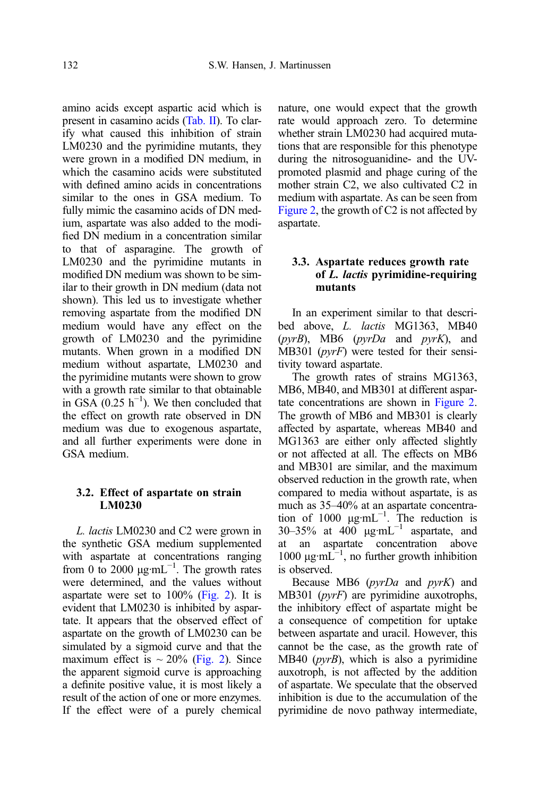amino acids except aspartic acid which is present in casamino acids [\(Tab. II\)](#page-6-0). To clarify what caused this inhibition of strain LM0230 and the pyrimidine mutants, they were grown in a modified DN medium, in which the casamino acids were substituted with defined amino acids in concentrations similar to the ones in GSA medium. To fully mimic the casamino acids of DN medium, aspartate was also added to the modified DN medium in a concentration similar to that of asparagine. The growth of LM0230 and the pyrimidine mutants in modified DN medium was shown to be similar to their growth in DN medium (data not shown). This led us to investigate whether removing aspartate from the modified DN medium would have any effect on the growth of LM0230 and the pyrimidine mutants. When grown in a modified DN medium without aspartate, LM0230 and the pyrimidine mutants were shown to grow with a growth rate similar to that obtainable in GSA  $(0.25 \text{ h}^{-1})$ . We then concluded that the effect on growth rate observed in DN medium was due to exogenous aspartate, and all further experiments were done in GSA medium.

### 3.2. Effect of aspartate on strain LM0230

L. lactis LM0230 and C2 were grown in the synthetic GSA medium supplemented with aspartate at concentrations ranging from 0 to 2000  $\mu$ g·mL<sup>-1</sup>. The growth rates were determined, and the values without aspartate were set to  $100\%$  [\(Fig. 2\)](#page-8-0). It is evident that LM0230 is inhibited by aspartate. It appears that the observed effect of aspartate on the growth of LM0230 can be simulated by a sigmoid curve and that the maximum effect is  $\sim 20\%$  [\(Fig. 2](#page-8-0)). Since the apparent sigmoid curve is approaching a definite positive value, it is most likely a result of the action of one or more enzymes. If the effect were of a purely chemical nature, one would expect that the growth rate would approach zero. To determine whether strain LM0230 had acquired mutations that are responsible for this phenotype during the nitrosoguanidine- and the UVpromoted plasmid and phage curing of the mother strain C2, we also cultivated C2 in medium with aspartate. As can be seen from [Figure 2,](#page-8-0) the growth of C2 is not affected by aspartate.

## 3.3. Aspartate reduces growth rate of L. lactis pyrimidine-requiring mutants

In an experiment similar to that described above, L. lactis MG1363, MB40  $(pvrB)$ , MB6  $(pvrDa$  and  $pvrK)$ , and  $MB301$  (*pyrF*) were tested for their sensitivity toward aspartate.

The growth rates of strains MG1363, MB6, MB40, and MB301 at different aspartate concentrations are shown in [Figure 2](#page-8-0). The growth of MB6 and MB301 is clearly affected by aspartate, whereas MB40 and MG1363 are either only affected slightly or not affected at all. The effects on MB6 and MB301 are similar, and the maximum observed reduction in the growth rate, when compared to media without aspartate, is as much as 35–40% at an aspartate concentration of 1000  $\mu$ g·mL<sup>-1</sup>. The reduction is 30–35% at  $400 \mu g \cdot mL^{-1}$  aspartate, and at an aspartate concentration above 1000  $\mu$ g·mL<sup> $-1$ </sup>, no further growth inhibition is observed.

Because MB6  $(pyrDa$  and  $pyrK$ ) and MB301 (pyrF) are pyrimidine auxotrophs, the inhibitory effect of aspartate might be a consequence of competition for uptake between aspartate and uracil. However, this cannot be the case, as the growth rate of MB40 (pyrB), which is also a pyrimidine auxotroph, is not affected by the addition of aspartate. We speculate that the observed inhibition is due to the accumulation of the pyrimidine de novo pathway intermediate,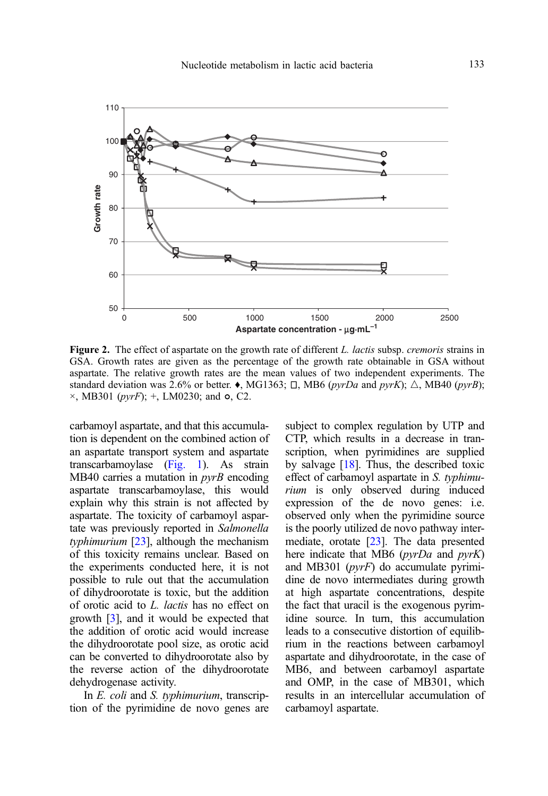<span id="page-8-0"></span>

Figure 2. The effect of aspartate on the growth rate of different L. lactis subsp. cremoris strains in GSA. Growth rates are given as the percentage of the growth rate obtainable in GSA without aspartate. The relative growth rates are the mean values of two independent experiments. The standard deviation was 2.6% or better.  $\bullet$ , MG1363;  $\Box$ , MB6 (pyrDa and pyrK);  $\triangle$ , MB40 (pyrB);  $\times$ , MB301 (*pyrF*); +, LM0230; and  $\circ$ , C2.

carbamoyl aspartate, and that this accumulation is dependent on the combined action of an aspartate transport system and aspartate transcarbamoylase [\(Fig. 1\)](#page-2-0). As strain MB40 carries a mutation in  $pyrB$  encoding aspartate transcarbamoylase, this would explain why this strain is not affected by aspartate. The toxicity of carbamoyl aspartate was previously reported in Salmonella typhimurium  $[23]$ , although the mechanism of this toxicity remains unclear. Based on the experiments conducted here, it is not possible to rule out that the accumulation of dihydroorotate is toxic, but the addition of orotic acid to L. lactis has no effect on growth [\[3\]](#page-11-0), and it would be expected that the addition of orotic acid would increase the dihydroorotate pool size, as orotic acid can be converted to dihydroorotate also by the reverse action of the dihydroorotate dehydrogenase activity.

In *E. coli* and *S. typhimurium*, transcription of the pyrimidine de novo genes are subject to complex regulation by UTP and CTP, which results in a decrease in transcription, when pyrimidines are supplied by salvage [\[18](#page-11-0)]. Thus, the described toxic effect of carbamoyl aspartate in S. typhimurium is only observed during induced expression of the de novo genes: i.e. observed only when the pyrimidine source is the poorly utilized de novo pathway intermediate, orotate [\[23\]](#page-12-0). The data presented here indicate that MB6 (*pyrDa* and *pyrK*) and MB301 (pyrF) do accumulate pyrimidine de novo intermediates during growth at high aspartate concentrations, despite the fact that uracil is the exogenous pyrimidine source. In turn, this accumulation leads to a consecutive distortion of equilibrium in the reactions between carbamoyl aspartate and dihydroorotate, in the case of MB6, and between carbamoyl aspartate and OMP, in the case of MB301, which results in an intercellular accumulation of carbamoyl aspartate.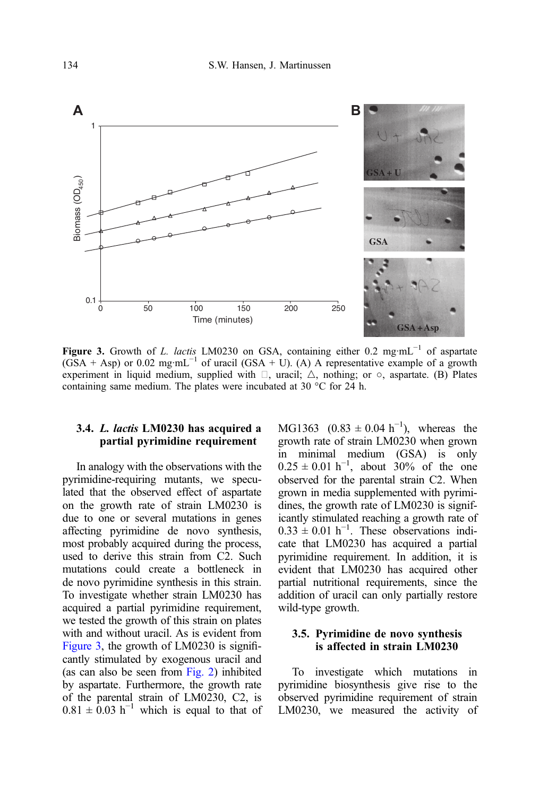

Figure 3. Growth of L. lactis LM0230 on GSA, containing either 0.2 mg·mL<sup>-1</sup> of aspartate (GSA + Asp) or 0.02 mg·mL<sup>-1</sup> of uracil (GSA + U). (A) A representative example of a growth experiment in liquid medium, supplied with  $\Box$ , uracil;  $\triangle$ , nothing; or  $\circ$ , aspartate. (B) Plates containing same medium. The plates were incubated at 30 °C for 24 h.

## 3.4. L. lactis LM0230 has acquired a partial pyrimidine requirement

In analogy with the observations with the pyrimidine-requiring mutants, we speculated that the observed effect of aspartate on the growth rate of strain LM0230 is due to one or several mutations in genes affecting pyrimidine de novo synthesis, most probably acquired during the process, used to derive this strain from C2. Such mutations could create a bottleneck in de novo pyrimidine synthesis in this strain. To investigate whether strain LM0230 has acquired a partial pyrimidine requirement, we tested the growth of this strain on plates with and without uracil. As is evident from Figure 3, the growth of LM0230 is significantly stimulated by exogenous uracil and (as can also be seen from [Fig. 2\)](#page-8-0) inhibited by aspartate. Furthermore, the growth rate of the parental strain of LM0230, C2, is  $0.81 \pm 0.03$  h<sup>-1</sup> which is equal to that of

MG1363  $(0.83 \pm 0.04 \text{ h}^{-1})$ , whereas the growth rate of strain LM0230 when grown in minimal medium (GSA) is only  $0.25 \pm 0.01 \text{ h}^{-1}$ , about 30% of the one observed for the parental strain C2. When grown in media supplemented with pyrimidines, the growth rate of LM0230 is significantly stimulated reaching a growth rate of  $0.33 \pm 0.01$  h<sup>-1</sup>. These observations indicate that LM0230 has acquired a partial pyrimidine requirement. In addition, it is evident that LM0230 has acquired other partial nutritional requirements, since the addition of uracil can only partially restore wild-type growth.

## 3.5. Pyrimidine de novo synthesis is affected in strain LM0230

To investigate which mutations in pyrimidine biosynthesis give rise to the observed pyrimidine requirement of strain LM0230, we measured the activity of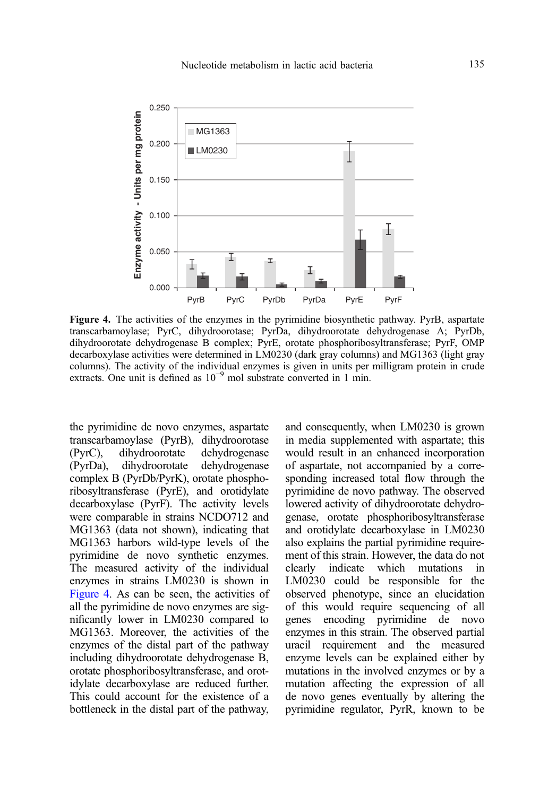

Figure 4. The activities of the enzymes in the pyrimidine biosynthetic pathway. PyrB, aspartate transcarbamoylase; PyrC, dihydroorotase; PyrDa, dihydroorotate dehydrogenase A; PyrDb, dihydroorotate dehydrogenase B complex; PyrE, orotate phosphoribosyltransferase; PyrF, OMP decarboxylase activities were determined in LM0230 (dark gray columns) and MG1363 (light gray columns). The activity of the individual enzymes is given in units per milligram protein in crude extracts. One unit is defined as 10−<sup>9</sup> mol substrate converted in 1 min.

the pyrimidine de novo enzymes, aspartate transcarbamoylase (PyrB), dihydroorotase (PyrC), dihydroorotate dehydrogenase (PyrDa), dihydroorotate dehydrogenase complex B (PyrDb/PyrK), orotate phosphoribosyltransferase (PyrE), and orotidylate decarboxylase (PyrF). The activity levels were comparable in strains NCDO712 and MG1363 (data not shown), indicating that MG1363 harbors wild-type levels of the pyrimidine de novo synthetic enzymes. The measured activity of the individual enzymes in strains LM0230 is shown in Figure 4. As can be seen, the activities of all the pyrimidine de novo enzymes are significantly lower in LM0230 compared to MG1363. Moreover, the activities of the enzymes of the distal part of the pathway including dihydroorotate dehydrogenase B, orotate phosphoribosyltransferase, and orotidylate decarboxylase are reduced further. This could account for the existence of a bottleneck in the distal part of the pathway, and consequently, when LM0230 is grown in media supplemented with aspartate; this would result in an enhanced incorporation of aspartate, not accompanied by a corresponding increased total flow through the pyrimidine de novo pathway. The observed lowered activity of dihydroorotate dehydrogenase, orotate phosphoribosyltransferase and orotidylate decarboxylase in LM0230 also explains the partial pyrimidine requirement of this strain. However, the data do not clearly indicate which mutations in LM0230 could be responsible for the observed phenotype, since an elucidation of this would require sequencing of all genes encoding pyrimidine de novo enzymes in this strain. The observed partial uracil requirement and the measured enzyme levels can be explained either by mutations in the involved enzymes or by a mutation affecting the expression of all de novo genes eventually by altering the pyrimidine regulator, PyrR, known to be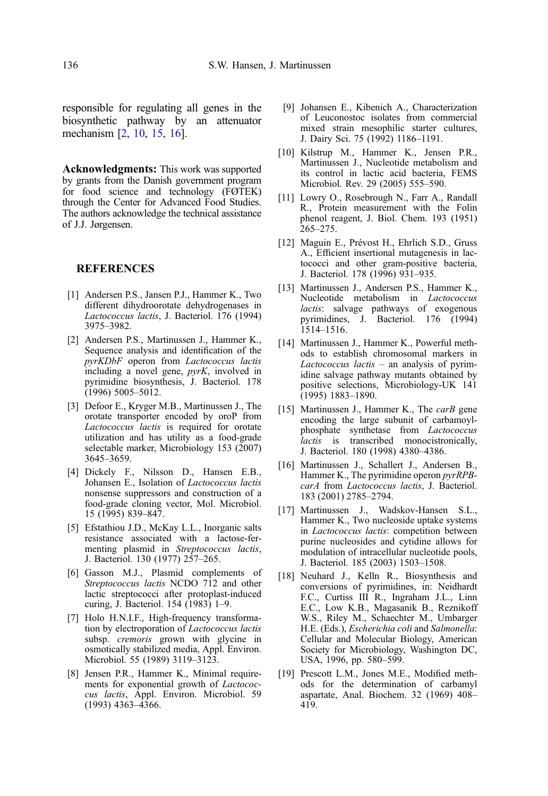<span id="page-11-0"></span>responsible for regulating all genes in the biosynthetic pathway by an attenuator mechanism [2, 10, 15, 16].

Acknowledgments: This work was supported by grants from the Danish government program for food science and technology (FØTEK) through the Center for Advanced Food Studies. The authors acknowledge the technical assistance of J.J. Jørgensen.

## **REFERENCES**

- [1] Andersen P.S., Jansen P.J., Hammer K., Two different dihydroorotate dehydrogenases in Lactococcus lactis, J. Bacteriol. 176 (1994) 3975–3982.
- [2] Andersen P.S., Martinussen J., Hammer K., Sequence analysis and identification of the pyrKDbF operon from Lactococcus lactis including a novel gene, pyrK, involved in pyrimidine biosynthesis, J. Bacteriol. 178 (1996) 5005–5012.
- [3] Defoor E., Kryger M.B., Martinussen J., The orotate transporter encoded by oroP from Lactococcus lactis is required for orotate utilization and has utility as a food-grade selectable marker, Microbiology 153 (2007) 3645–3659.
- [4] Dickely F., Nilsson D., Hansen E.B., Johansen E., Isolation of Lactococcus lactis nonsense suppressors and construction of a food-grade cloning vector, Mol. Microbiol. 15 (1995) 839–847.
- [5] Efstathiou J.D., McKay L.L., Inorganic salts resistance associated with a lactose-fermenting plasmid in Streptococcus lactis, J. Bacteriol. 130 (1977) 257–265.
- [6] Gasson M.J., Plasmid complements of Streptococcus lactis NCDO 712 and other lactic streptococci after protoplast-induced curing, J. Bacteriol. 154 (1983) 1–9.
- [7] Holo H.N.I.F., High-frequency transformation by electroporation of Lactococcus lactis subsp. *cremoris* grown with glycine in osmotically stabilized media, Appl. Environ. Microbiol. 55 (1989) 3119–3123.
- [8] Jensen P.R., Hammer K., Minimal requirements for exponential growth of Lactococcus lactis, Appl. Environ. Microbiol. 59 (1993) 4363–4366.
- [9] Johansen E., Kibenich A., Characterization of Leuconostoc isolates from commercial mixed strain mesophilic starter cultures, J. Dairy Sci. 75 (1992) 1186–1191.
- [10] Kilstrup M., Hammer K., Jensen P.R., Martinussen J., Nucleotide metabolism and its control in lactic acid bacteria, FEMS Microbiol. Rev. 29 (2005) 555–590.
- [11] Lowry O., Rosebrough N., Farr A., Randall R., Protein measurement with the Folin phenol reagent, J. Biol. Chem. 193 (1951) 265–275.
- [12] Maguin E., Prévost H., Ehrlich S.D., Gruss A., Efficient insertional mutagenesis in lactococci and other gram-positive bacteria, J. Bacteriol. 178 (1996) 931–935.
- [13] Martinussen J., Andersen P.S., Hammer K., Nucleotide metabolism in Lactococcus lactis: salvage pathways of exogenous pyrimidines, J. Bacteriol. 176 (1994) 1514–1516.
- [14] Martinussen J., Hammer K., Powerful methods to establish chromosomal markers in Lactococcus lactis – an analysis of pyrimidine salvage pathway mutants obtained by positive selections, Microbiology-UK 141 (1995) 1883–1890.
- [15] Martinussen J., Hammer K., The carB gene encoding the large subunit of carbamoylphosphate synthetase from Lactococcus *lactis* is transcribed monocistronically, J. Bacteriol. 180 (1998) 4380–4386.
- [16] Martinussen J., Schallert J., Andersen B., Hammer K., The pyrimidine operon pyrRPBcarA from Lactococcus lactis, J. Bacteriol. 183 (2001) 2785–2794.
- [17] Martinussen J., Wadskov-Hansen S.L., Hammer K., Two nucleoside uptake systems in *Lactococcus lactis*: competition between purine nucleosides and cytidine allows for modulation of intracellular nucleotide pools, J. Bacteriol. 185 (2003) 1503–1508.
- [18] Neuhard J., Kelln R., Biosynthesis and conversions of pyrimidines, in: Neidhardt F.C., Curtiss III R., Ingraham J.L., Linn E.C., Low K.B., Magasanik B., Reznikoff W.S., Riley M., Schaechter M., Umbarger H.E. (Eds.), Escherichia coli and Salmonella: Cellular and Molecular Biology, American Society for Microbiology, Washington DC, USA, 1996, pp. 580–599.
- [19] Prescott L.M., Jones M.E., Modified methods for the determination of carbamyl aspartate, Anal. Biochem. 32 (1969) 408– 419.